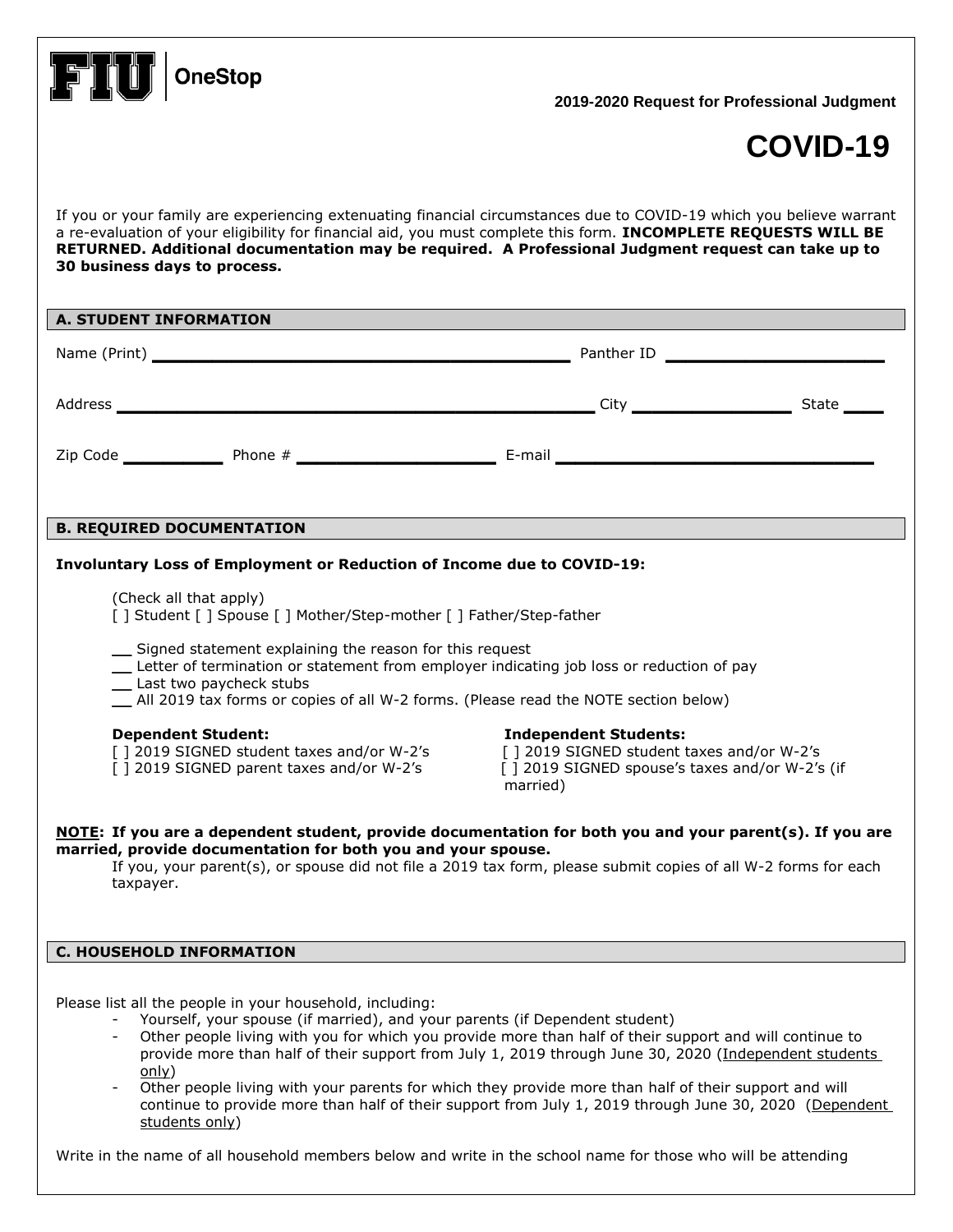| <b>OneStop</b>                                                                                                                                                                                                                                                                                                                                                                                                                                                                                                                                                                                                                        | 2019-2020 Request for Professional Judgment                                                                                             |  |  |  |
|---------------------------------------------------------------------------------------------------------------------------------------------------------------------------------------------------------------------------------------------------------------------------------------------------------------------------------------------------------------------------------------------------------------------------------------------------------------------------------------------------------------------------------------------------------------------------------------------------------------------------------------|-----------------------------------------------------------------------------------------------------------------------------------------|--|--|--|
|                                                                                                                                                                                                                                                                                                                                                                                                                                                                                                                                                                                                                                       | COVID-19                                                                                                                                |  |  |  |
| If you or your family are experiencing extenuating financial circumstances due to COVID-19 which you believe warrant<br>a re-evaluation of your eligibility for financial aid, you must complete this form. INCOMPLETE REQUESTS WILL BE<br>RETURNED. Additional documentation may be required. A Professional Judgment request can take up to<br>30 business days to process.                                                                                                                                                                                                                                                         |                                                                                                                                         |  |  |  |
| <b>A. STUDENT INFORMATION</b>                                                                                                                                                                                                                                                                                                                                                                                                                                                                                                                                                                                                         |                                                                                                                                         |  |  |  |
|                                                                                                                                                                                                                                                                                                                                                                                                                                                                                                                                                                                                                                       |                                                                                                                                         |  |  |  |
|                                                                                                                                                                                                                                                                                                                                                                                                                                                                                                                                                                                                                                       |                                                                                                                                         |  |  |  |
|                                                                                                                                                                                                                                                                                                                                                                                                                                                                                                                                                                                                                                       |                                                                                                                                         |  |  |  |
|                                                                                                                                                                                                                                                                                                                                                                                                                                                                                                                                                                                                                                       |                                                                                                                                         |  |  |  |
| <b>B. REQUIRED DOCUMENTATION</b>                                                                                                                                                                                                                                                                                                                                                                                                                                                                                                                                                                                                      |                                                                                                                                         |  |  |  |
| Involuntary Loss of Employment or Reduction of Income due to COVID-19:                                                                                                                                                                                                                                                                                                                                                                                                                                                                                                                                                                |                                                                                                                                         |  |  |  |
| (Check all that apply)<br>[] Student [] Spouse [] Mother/Step-mother [] Father/Step-father                                                                                                                                                                                                                                                                                                                                                                                                                                                                                                                                            |                                                                                                                                         |  |  |  |
| _ Signed statement explaining the reason for this request<br>Letter of termination or statement from employer indicating job loss or reduction of pay<br>Last two paycheck stubs<br>_ All 2019 tax forms or copies of all W-2 forms. (Please read the NOTE section below)                                                                                                                                                                                                                                                                                                                                                             |                                                                                                                                         |  |  |  |
| <b>Dependent Student:</b><br>[] 2019 SIGNED student taxes and/or W-2's<br>[] 2019 SIGNED parent taxes and/or W-2's                                                                                                                                                                                                                                                                                                                                                                                                                                                                                                                    | <b>Independent Students:</b><br>[] 2019 SIGNED student taxes and/or W-2's<br>[] 2019 SIGNED spouse's taxes and/or W-2's (if<br>married) |  |  |  |
| NOTE: If you are a dependent student, provide documentation for both you and your parent(s). If you are<br>married, provide documentation for both you and your spouse.<br>If you, your parent(s), or spouse did not file a 2019 tax form, please submit copies of all W-2 forms for each<br>taxpayer.                                                                                                                                                                                                                                                                                                                                |                                                                                                                                         |  |  |  |
| <b>C. HOUSEHOLD INFORMATION</b>                                                                                                                                                                                                                                                                                                                                                                                                                                                                                                                                                                                                       |                                                                                                                                         |  |  |  |
| Please list all the people in your household, including:<br>Yourself, your spouse (if married), and your parents (if Dependent student)<br>Other people living with you for which you provide more than half of their support and will continue to<br>provide more than half of their support from July 1, 2019 through June 30, 2020 (Independent students<br>only)<br>Other people living with your parents for which they provide more than half of their support and will<br>$\overline{\phantom{a}}$<br>continue to provide more than half of their support from July 1, 2019 through June 30, 2020 (Dependent<br>students only) |                                                                                                                                         |  |  |  |